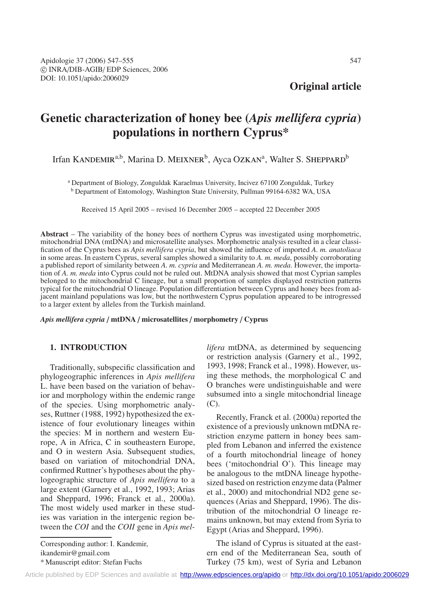**Original article**

# **Genetic characterization of honey bee (***Apis mellifera cypria***) populations in northern Cyprus\***

Irfan KANDEMIR<sup>a,b</sup>, Marina D. MEIXNER<sup>b</sup>, Ayca OZKAN<sup>a</sup>, Walter S. SHEPPARD<sup>b</sup>

<sup>a</sup> Department of Biology, Zonguldak Karaelmas University, Incivez 67100 Zonguldak, Turkey <sup>b</sup> Department of Entomology, Washington State University, Pullman 99164-6382 WA, USA

Received 15 April 2005 – revised 16 December 2005 – accepted 22 December 2005

**Abstract** – The variability of the honey bees of northern Cyprus was investigated using morphometric, mitochondrial DNA (mtDNA) and microsatellite analyses. Morphometric analysis resulted in a clear classification of the Cyprus bees as *Apis mellifera cypria*, but showed the influence of imported *A. m. anatoliaca* in some areas. In eastern Cyprus, several samples showed a similarity to *A. m. meda*, possibly corroborating a published report of similarity between *A. m. cypria* and Mediterranean *A. m. meda*. However, the importation of *A. m. meda* into Cyprus could not be ruled out. MtDNA analysis showed that most Cyprian samples belonged to the mitochondrial C lineage, but a small proportion of samples displayed restriction patterns typical for the mitochondrial O lineage. Population differentiation between Cyprus and honey bees from adjacent mainland populations was low, but the northwestern Cyprus population appeared to be introgressed to a larger extent by alleles from the Turkish mainland.

*Apis mellifera cypria* / **mtDNA** / **microsatellites** / **morphometry** / **Cyprus**

# **1. INTRODUCTION**

Traditionally, subspecific classification and phylogeographic inferences in *Apis mellifera* L. have been based on the variation of behavior and morphology within the endemic range of the species. Using morphometric analyses, Ruttner (1988, 1992) hypothesized the existence of four evolutionary lineages within the species: M in northern and western Europe, A in Africa, C in southeastern Europe, and O in western Asia. Subsequent studies, based on variation of mitochondrial DNA, confirmed Ruttner's hypotheses about the phylogeographic structure of *Apis mellifera* to a large extent (Garnery et al., 1992, 1993; Arias and Sheppard, 1996; Franck et al., 2000a). The most widely used marker in these studies was variation in the intergenic region between the *COI* and the *COII* gene in *Apis mel-*

Corresponding author: I. Kandemir, ikandemir@gmail.com \* Manuscript editor: Stefan Fuchs

*lifera* mtDNA, as determined by sequencing or restriction analysis (Garnery et al., 1992, 1993, 1998; Franck et al., 1998). However, using these methods, the morphological C and O branches were undistinguishable and were subsumed into a single mitochondrial lineage (C).

Recently, Franck et al. (2000a) reported the existence of a previously unknown mtDNA restriction enzyme pattern in honey bees sampled from Lebanon and inferred the existence of a fourth mitochondrial lineage of honey bees ('mitochondrial O'). This lineage may be analogous to the mtDNA lineage hypothesized based on restriction enzyme data (Palmer et al., 2000) and mitochondrial ND2 gene sequences (Arias and Sheppard, 1996). The distribution of the mitochondrial O lineage remains unknown, but may extend from Syria to Egypt (Arias and Sheppard, 1996).

The island of Cyprus is situated at the eastern end of the Mediterranean Sea, south of Turkey (75 km), west of Syria and Lebanon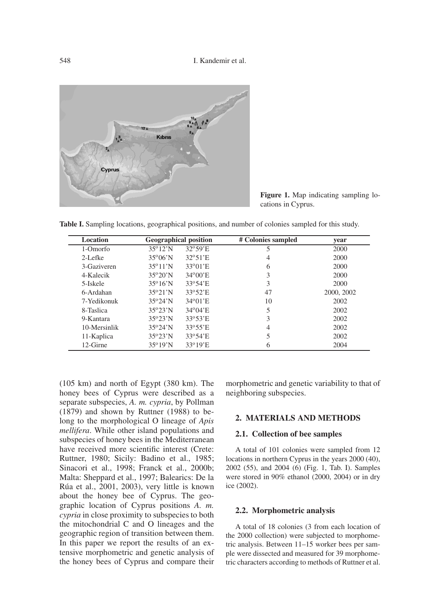

**Figure 1.** Map indicating sampling locations in Cyprus.

**Table I.** Sampling locations, geographical positions, and number of colonies sampled for this study.

| Location     |                          | <b>Geographical position</b> | # Colonies sampled | year       |
|--------------|--------------------------|------------------------------|--------------------|------------|
| 1-Omorfo     | $35^{\circ}12^{\prime}N$ | $32^{\circ}59'$ E            | 5                  | 2000       |
| $2-I.$ efke  | $35^{\circ}06'$ N        | $32^{\circ}51'$ E            | 4                  | 2000       |
| 3-Gaziveren  | $35^{\circ}11'$ N        | $33^{\circ}01'$ E            | 6                  | 2000       |
| 4-Kalecik    | $35^{\circ}20^{\prime}N$ | $34^{\circ}00'E$             | 3                  | 2000       |
| 5-Iskele     | $35^{\circ}16'$ N        | $33^{\circ}54' E$            | 3                  | 2000       |
| 6-Ardahan    | $35^{\circ}21'$ N        | $33^{\circ}52' E$            | 47                 | 2000, 2002 |
| 7-Yedikonuk  | $35^{\circ}24'$ N        | $34^{\circ}01'$ E            | 10                 | 2002       |
| 8-Taslica    | $35^{\circ}23^{\prime}N$ | $34^{\circ}04' E$            | 5                  | 2002       |
| 9-Kantara    | $35^{\circ}23^{\prime}N$ | $33^{\circ}53'$ E            | 3                  | 2002       |
| 10-Mersinlik | $35^{\circ}24'$ N        | $33^{\circ}55'$ E            | 4                  | 2002       |
| 11-Kaplica   | $35^{\circ}23'$ N        | $33^{\circ}54' E$            | 5                  | 2002       |
| 12-Girne     | $35^{\circ}19'$ N        | $33^{\circ}19'$ E            | 6                  | 2004       |

(105 km) and north of Egypt (380 km). The honey bees of Cyprus were described as a separate subspecies, *A. m. cypria*, by Pollman (1879) and shown by Ruttner (1988) to belong to the morphological O lineage of *Apis mellifera*. While other island populations and subspecies of honey bees in the Mediterranean have received more scientific interest (Crete: Ruttner, 1980; Sicily: Badino et al., 1985; Sinacori et al., 1998; Franck et al., 2000b; Malta: Sheppard et al., 1997; Balearics: De la Rúa et al., 2001, 2003), very little is known about the honey bee of Cyprus. The geographic location of Cyprus positions *A. m. cypria* in close proximity to subspecies to both the mitochondrial C and O lineages and the geographic region of transition between them. In this paper we report the results of an extensive morphometric and genetic analysis of the honey bees of Cyprus and compare their morphometric and genetic variability to that of neighboring subspecies.

# **2. MATERIALS AND METHODS**

#### **2.1. Collection of bee samples**

A total of 101 colonies were sampled from 12 locations in northern Cyprus in the years 2000 (40), 2002 (55), and 2004 (6) (Fig. 1, Tab. I). Samples were stored in 90% ethanol (2000, 2004) or in dry ice (2002).

# **2.2. Morphometric analysis**

A total of 18 colonies (3 from each location of the 2000 collection) were subjected to morphometric analysis. Between 11–15 worker bees per sample were dissected and measured for 39 morphometric characters according to methods of Ruttner et al.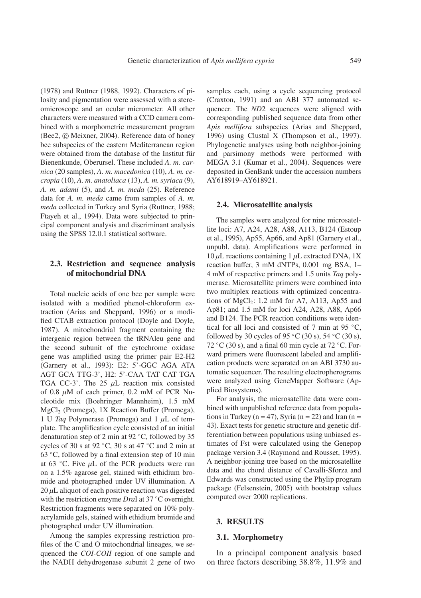(1978) and Ruttner (1988, 1992). Characters of pilosity and pigmentation were assessed with a stereomicroscope and an ocular micrometer. All other characters were measured with a CCD camera combined with a morphometric measurement program (Bee2,  $©$  Meixner, 2004). Reference data of honey bee subspecies of the eastern Mediterranean region were obtained from the database of the Institut für Bienenkunde, Oberursel. These included *A. m. carnica* (20 samples), *A. m. macedonica* (10), *A. m. cecropia* (10), *A. m. anatoliaca* (13), *A. m. syriaca* (9), *A. m. adami* (5), and *A. m. meda* (25). Reference data for *A. m. meda* came from samples of *A. m. meda* collected in Turkey and Syria (Ruttner, 1988; Ftayeh et al., 1994). Data were subjected to principal component analysis and discriminant analysis using the SPSS 12.0.1 statistical software.

# **2.3. Restriction and sequence analysis of mitochondrial DNA**

Total nucleic acids of one bee per sample were isolated with a modified phenol-chloroform extraction (Arias and Sheppard, 1996) or a modified CTAB extraction protocol (Doyle and Doyle, 1987). A mitochondrial fragment containing the intergenic region between the tRNAleu gene and the second subunit of the cytochrome oxidase gene was amplified using the primer pair E2-H2 (Garnery et al., 1993): E2: 5'-GGC AGA ATA AGT GCA TTG-3', H2: 5'-CAA TAT CAT TGA TGA CC-3'. The 25  $\mu$ L reaction mix consisted of 0.8  $\mu$ M of each primer, 0.2 mM of PCR Nucleotide mix (Boehringer Mannheim), 1.5 mM MgCl2 (Promega), 1X Reaction Buffer (Promega), 1 U *Taq* Polymerase (Promega) and 1 µL of template. The amplification cycle consisted of an initial denaturation step of 2 min at 92 ◦C, followed by 35 cycles of 30 s at 92  $°C$ , 30 s at 47 °C and 2 min at 63  $°C$ , followed by a final extension step of 10 min at 63  $°C$ . Five  $\mu$ L of the PCR products were run on a 1.5% agarose gel, stained with ethidium bromide and photographed under UV illumination. A  $20 \mu$ L aliquot of each positive reaction was digested with the restriction enzyme *Dra*I at 37 ◦C overnight. Restriction fragments were separated on 10% polyacrylamide gels, stained with ethidium bromide and photographed under UV illumination.

Among the samples expressing restriction profiles of the C and O mitochondrial lineages, we sequenced the *COI-COII* region of one sample and the NADH dehydrogenase subunit 2 gene of two samples each, using a cycle sequencing protocol (Craxton, 1991) and an ABI 377 automated sequencer. The *ND*2 sequences were aligned with corresponding published sequence data from other *Apis mellifera* subspecies (Arias and Sheppard, 1996) using Clustal X (Thompson et al., 1997). Phylogenetic analyses using both neighbor-joining and parsimony methods were performed with MEGA 3.1 (Kumar et al., 2004). Sequences were deposited in GenBank under the accession numbers AY618919–AY618921.

#### **2.4. Microsatellite analysis**

The samples were analyzed for nine microsatellite loci: A7, A24, A28, A88, A113, B124 (Estoup et al., 1995), Ap55, Ap66, and Ap81 (Garnery et al., unpubl. data). Amplifications were performed in  $10 \mu L$  reactions containing 1  $\mu L$  extracted DNA, 1X reaction buffer, 3 mM dNTPs, 0.001 mg BSA, 1– 4 mM of respective primers and 1.5 units *Taq* polymerase. Microsatellite primers were combined into two multiplex reactions with optimized concentrations of  $MgCl<sub>2</sub>: 1.2$  mM for A7, A113, Ap55 and Ap81; and 1.5 mM for loci A24, A28, A88, Ap66 and B124. The PCR reaction conditions were identical for all loci and consisted of 7 min at 95 ◦C, followed by 30 cycles of 95 °C (30 s), 54 °C (30 s), 72 °C (30 s), and a final 60 min cycle at 72 °C. Forward primers were fluorescent labeled and amplification products were separated on an ABI 3730 automatic sequencer. The resulting electropherograms were analyzed using GeneMapper Software (Applied Biosystems).

For analysis, the microsatellite data were combined with unpublished reference data from populations in Turkey ( $n = 47$ ), Syria ( $n = 22$ ) and Iran ( $n =$ 43). Exact tests for genetic structure and genetic differentiation between populations using unbiased estimates of Fst were calculated using the Genepop package version 3.4 (Raymond and Rousset, 1995). A neighbor-joining tree based on the microsatellite data and the chord distance of Cavalli-Sforza and Edwards was constructed using the Phylip program package (Felsenstein, 2005) with bootstrap values computed over 2000 replications.

#### **3. RESULTS**

#### **3.1. Morphometry**

In a principal component analysis based on three factors describing 38.8%, 11.9% and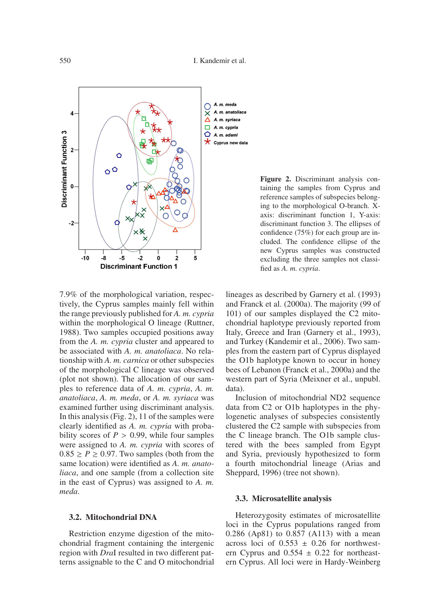

7.9% of the morphological variation, respectively, the Cyprus samples mainly fell within the range previously published for *A. m. cypria* within the morphological O lineage (Ruttner, 1988). Two samples occupied positions away from the *A. m. cypria* cluster and appeared to be associated with *A. m. anatoliaca*. No relationship with *A. m. carnica* or other subspecies of the morphological C lineage was observed (plot not shown). The allocation of our samples to reference data of *A. m. cypria*, *A. m. anatoliaca*, *A. m. meda*, or *A. m. syriaca* was examined further using discriminant analysis. In this analysis (Fig. 2), 11 of the samples were clearly identified as *A. m. cypria* with probability scores of  $P > 0.99$ , while four samples were assigned to *A. m. cypria* with scores of  $0.85 \ge P \ge 0.97$ . Two samples (both from the same location) were identified as *A. m. anatoliaca*, and one sample (from a collection site in the east of Cyprus) was assigned to *A. m. meda*.

#### **3.2. Mitochondrial DNA**

Restriction enzyme digestion of the mitochondrial fragment containing the intergenic region with *Dra*I resulted in two different patterns assignable to the C and O mitochondrial **Figure 2.** Discriminant analysis containing the samples from Cyprus and reference samples of subspecies belonging to the morphological O-branch. Xaxis: discriminant function 1, Y-axis: discriminant function 3. The ellipses of confidence (75%) for each group are included. The confidence ellipse of the new Cyprus samples was constructed excluding the three samples not classified as *A. m. cypria*.

lineages as described by Garnery et al. (1993) and Franck et al. (2000a). The majority (99 of 101) of our samples displayed the C2 mitochondrial haplotype previously reported from Italy, Greece and Iran (Garnery et al., 1993), and Turkey (Kandemir et al., 2006). Two samples from the eastern part of Cyprus displayed the O1b haplotype known to occur in honey bees of Lebanon (Franck et al., 2000a) and the western part of Syria (Meixner et al., unpubl. data).

Inclusion of mitochondrial ND2 sequence data from C2 or O1b haplotypes in the phylogenetic analyses of subspecies consistently clustered the C2 sample with subspecies from the C lineage branch. The O1b sample clustered with the bees sampled from Egypt and Syria, previously hypothesized to form a fourth mitochondrial lineage (Arias and Sheppard, 1996) (tree not shown).

#### **3.3. Microsatellite analysis**

Heterozygosity estimates of microsatellite loci in the Cyprus populations ranged from 0.286 (Ap81) to 0.857 (A113) with a mean across loci of  $0.553 \pm 0.26$  for northwestern Cyprus and  $0.554 \pm 0.22$  for northeastern Cyprus. All loci were in Hardy-Weinberg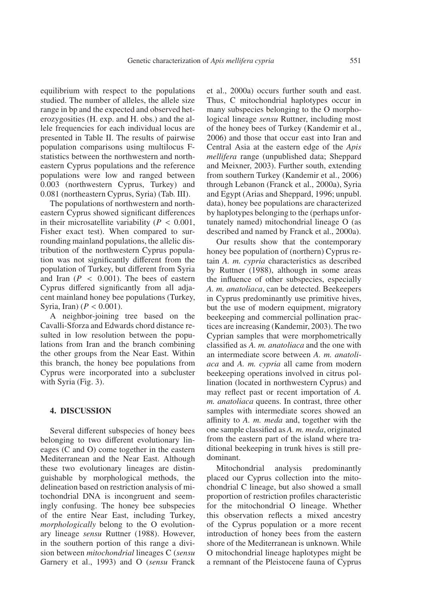equilibrium with respect to the populations studied. The number of alleles, the allele size range in bp and the expected and observed heterozygosities (H. exp. and H. obs.) and the allele frequencies for each individual locus are presented in Table II. The results of pairwise population comparisons using multilocus Fstatistics between the northwestern and northeastern Cyprus populations and the reference populations were low and ranged between 0.003 (northwestern Cyprus, Turkey) and 0.081 (northeastern Cyprus, Syria) (Tab. III).

The populations of northwestern and northeastern Cyprus showed significant differences in their microsatellite variability  $(P < 0.001)$ , Fisher exact test). When compared to surrounding mainland populations, the allelic distribution of the northwestern Cyprus population was not significantly different from the population of Turkey, but different from Syria and Iran (*P* < 0.001). The bees of eastern Cyprus differed significantly from all adjacent mainland honey bee populations (Turkey, Syria, Iran) ( $P < 0.001$ ).

A neighbor-joining tree based on the Cavalli-Sforza and Edwards chord distance resulted in low resolution between the populations from Iran and the branch combining the other groups from the Near East. Within this branch, the honey bee populations from Cyprus were incorporated into a subcluster with Syria (Fig. 3).

# **4. DISCUSSION**

Several different subspecies of honey bees belonging to two different evolutionary lineages (C and O) come together in the eastern Mediterranean and the Near East. Although these two evolutionary lineages are distinguishable by morphological methods, the delineation based on restriction analysis of mitochondrial DNA is incongruent and seemingly confusing. The honey bee subspecies of the entire Near East, including Turkey, *morphologically* belong to the O evolutionary lineage *sensu* Ruttner (1988). However, in the southern portion of this range a division between *mitochondrial* lineages C (*sensu* Garnery et al., 1993) and O (*sensu* Franck et al., 2000a) occurs further south and east. Thus, C mitochondrial haplotypes occur in many subspecies belonging to the O morphological lineage *sensu* Ruttner, including most of the honey bees of Turkey (Kandemir et al., 2006) and those that occur east into Iran and Central Asia at the eastern edge of the *Apis mellifera* range (unpublished data; Sheppard and Meixner, 2003). Further south, extending from southern Turkey (Kandemir et al., 2006) through Lebanon (Franck et al., 2000a), Syria and Egypt (Arias and Sheppard, 1996; unpubl. data), honey bee populations are characterized by haplotypes belonging to the (perhaps unfortunately named) mitochondrial lineage O (as described and named by Franck et al., 2000a).

Our results show that the contemporary honey bee population of (northern) Cyprus retain *A. m. cypria* characteristics as described by Ruttner (1988), although in some areas the influence of other subspecies, especially *A. m. anatoliaca*, can be detected. Beekeepers in Cyprus predominantly use primitive hives, but the use of modern equipment, migratory beekeeping and commercial pollination practices are increasing (Kandemir, 2003). The two Cyprian samples that were morphometrically classified as *A. m. anatoliaca* and the one with an intermediate score between *A. m. anatoliaca* and *A. m. cypria* all came from modern beekeeping operations involved in citrus pollination (located in northwestern Cyprus) and may reflect past or recent importation of *A. m. anatoliaca* queens. In contrast, three other samples with intermediate scores showed an affinity to *A. m. meda* and, together with the one sample classified as *A. m. meda*, originated from the eastern part of the island where traditional beekeeping in trunk hives is still predominant.

Mitochondrial analysis predominantly placed our Cyprus collection into the mitochondrial C lineage, but also showed a small proportion of restriction profiles characteristic for the mitochondrial O lineage. Whether this observation reflects a mixed ancestry of the Cyprus population or a more recent introduction of honey bees from the eastern shore of the Mediterranean is unknown. While O mitochondrial lineage haplotypes might be a remnant of the Pleistocene fauna of Cyprus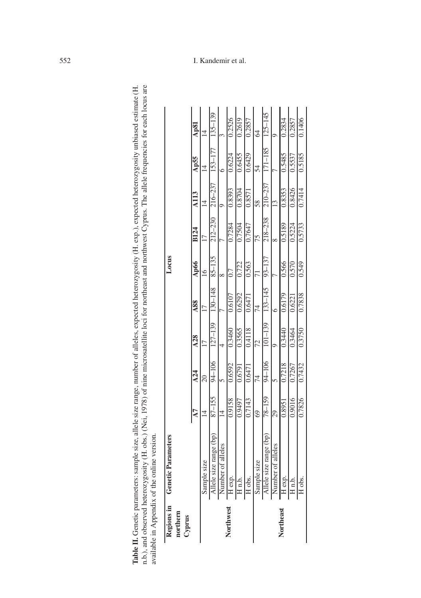| Regions in<br>northern | Genetic Parameters                                                                                      |                |                 |             |                 | Locus          |             |                    |             |                 |
|------------------------|---------------------------------------------------------------------------------------------------------|----------------|-----------------|-------------|-----------------|----------------|-------------|--------------------|-------------|-----------------|
| Cyprus                 |                                                                                                         | $\overline{A}$ | $\lambda$ 24    | A28         | A88             | Ap66           | <b>B124</b> | $\overline{A}$ 113 | Ap55        | $\Delta$ p $81$ |
|                        | le size<br>Sampl                                                                                        | $\overline{4}$ | $\overline{20}$ |             | $\overline{17}$ | $\overline{6}$ |             | $\overline{4}$     | 14          | $\overline{4}$  |
|                        | size range (bp)<br>Allele size range (b <sub>)</sub><br>Number of alleles<br>H exp.<br>H n.b.<br>H obs. | $87 - 155$     | 94-106          | $127 - 139$ | 130-148         | $85 - 135$     | $212 - 230$ | $216 - 237$        | 153–177     | 135-139         |
|                        |                                                                                                         | $\overline{4}$ |                 |             |                 |                |             |                    |             |                 |
| Northwest              |                                                                                                         | 0.9158         | 0.6592          | 0.3460      | 0.6107          | 0.7            | 0.7284      | 0.8393             | 0.6224      | 0.2526          |
|                        |                                                                                                         | 0.9497         | 0.6791          | 0.3565      | 0.6292          | 0.722          | 0.7504      | 0.8704             | 0.6455      | 0.2619          |
|                        |                                                                                                         | 0.7143         | 0.6471          | 0.4118      | 0.6471          | 0.563          | 0.7647      | 0.8571             | 0.6429      | 0.2857          |
|                        |                                                                                                         | 69             | 74              | 72          | 74              | 71             | 75          | 58                 | 54          | $\mathcal{A}$   |
|                        | size range (bp)                                                                                         | 78-159         | 94-106          | $101 - 139$ | $133 - 145$     | $93 - 137$     | 218-238     | $210 - 237$        | $171 - 185$ | $125 - 145$     |
|                        |                                                                                                         | 29             |                 |             |                 |                |             |                    |             |                 |
| Northeast              | Sample size<br>Allele size range (b <sub>)</sub><br>Number of alleles<br>H n.b.<br>H n.b.               | 0.8951         | 0.7218          | 0.3440      | 0.6179          | 0.566          | 0.5189      | 0.8353             | 0.5485      | 0.2834          |
|                        |                                                                                                         | 0.9016         | 0.7267          | 0.3464      | 0.6221          | 0.570          | 0.5224      | 0.8426             | 0.5537      | 0.2857          |
|                        | H obs.                                                                                                  | 0.7826         | 0.7432          | 0.3750      | 0.7838          | 0.549          | 0.5733      | 0.7414             | 0.5185      | 0.1406          |

Table II. Genetic parameters: sample size, allele size range, number of alleles, expected heterozygosity (H. exp.), expected heterozygosity unbiased estimate (H. n.b.), and observed heterozygosity (H. obs.) (Nei, 1978) of

# 552 I. Kandemir et al.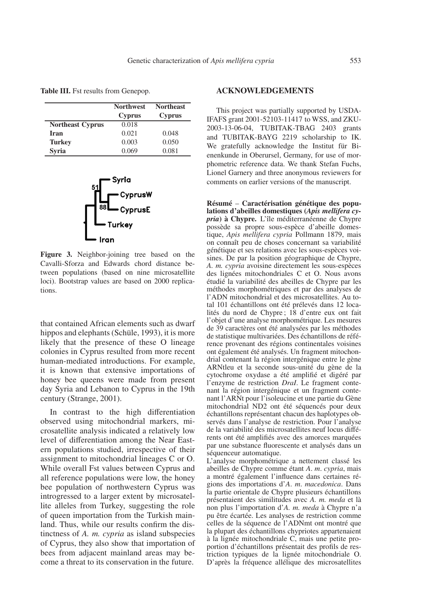**Table III.** Fst results from Genepop.

|                         | <b>Northwest</b><br><b>Cyprus</b> | <b>Northeast</b><br><b>Cyprus</b> |
|-------------------------|-----------------------------------|-----------------------------------|
| <b>Northeast Cyprus</b> | 0.018                             |                                   |
| Iran                    | 0.021                             | 0.048                             |
| <b>Turkey</b>           | 0.003                             | 0.050                             |
| <b>Syria</b>            | 0.069                             | 0.081                             |



**Figure 3.** Neighbor-joining tree based on the Cavalli-Sforza and Edwards chord distance between populations (based on nine microsatellite loci). Bootstrap values are based on 2000 replications.

that contained African elements such as dwarf hippos and elephants (Schüle, 1993), it is more likely that the presence of these O lineage colonies in Cyprus resulted from more recent human-mediated introductions. For example, it is known that extensive importations of honey bee queens were made from present day Syria and Lebanon to Cyprus in the 19th century (Strange, 2001).

In contrast to the high differentiation observed using mitochondrial markers, microsatellite analysis indicated a relatively low level of differentiation among the Near Eastern populations studied, irrespective of their assignment to mitochondrial lineages C or O. While overall Fst values between Cyprus and all reference populations were low, the honey bee population of northwestern Cyprus was introgressed to a larger extent by microsatellite alleles from Turkey, suggesting the role of queen importation from the Turkish mainland. Thus, while our results confirm the distinctness of *A. m. cypria* as island subspecies of Cyprus, they also show that importation of bees from adjacent mainland areas may become a threat to its conservation in the future.

# **ACKNOWLEDGEMENTS**

This project was partially supported by USDA-IFAFS grant 2001-52103-11417 to WSS, and ZKU-2003-13-06-04, TUBITAK-TBAG 2403 grants and TUBITAK-BAYG 2219 scholarship to IK. We gratefully acknowledge the Institut für Bienenkunde in Oberursel, Germany, for use of morphometric reference data. We thank Stefan Fuchs, Lionel Garnery and three anonymous reviewers for comments on earlier versions of the manuscript.

**Résumé** – **Caractérisation génétique des populations d'abeilles domestiques (***Apis mellifera cypria***) à Chypre.** L'île méditerranéenne de Chypre possède sa propre sous-espèce d'abeille domestique, *Apis mellifera cypria* Pollmann 1879, mais on connaît peu de choses concernant sa variabilité génétique et ses relations avec les sous-espèces voisines. De par la position géographique de Chypre, *A. m. cypria* avoisine directement les sous-espèces des lignées mitochondriales C et O. Nous avons étudié la variabilité des abeilles de Chypre par les méthodes morphométriques et par des analyses de l'ADN mitochondrial et des microsatellites. Au total 101 échantillons ont été prélevés dans 12 localités du nord de Chypre ; 18 d'entre eux ont fait l'objet d'une analyse morphométrique. Les mesures de 39 caractères ont été analysées par les méthodes de statistique multivariées. Des échantillons de référence provenant des régions continentales voisines ont également été analysés. Un fragment mitochondrial contenant la région intergénique entre le gène ARNtleu et la seconde sous-unité du gène de la cytochrome oxydase a été amplifié et digéré par l'enzyme de restriction *DraI*. Le fragment contenant la région intergénique et un fragment contenant l'ARNt pour l'isoleucine et une partie du Gène mitochondrial ND2 ont été séquencés pour deux échantillons représentant chacun des haplotypes observés dans l'analyse de restriction. Pour l'analyse de la variabilité des microsatellites neuf locus différents ont été amplifiés avec des amorces marquées par une substance fluorescente et analysés dans un séquenceur automatique.

L'analyse morphométrique a nettement classé les abeilles de Chypre comme étant *A*. *m*. *cypria*, mais a montré également l'influence dans certaines régions des importations d'*A*. *m*. *macedonica*. Dans la partie orientale de Chypre plusieurs échantillons présentaient des similitudes avec *A. m. meda* et là non plus l'importation d'*A. m. meda* à Chypre n'a pu être écartée. Les analyses de restriction comme celles de la séquence de l'ADNmt ont montré que la plupart des échantillons chypriotes appartenaient à la lignée mitochondriale C, mais une petite proportion d'échantillons présentait des profils de restriction typiques de la lignée mitochondriale O. D'après la fréquence allélique des microsatellites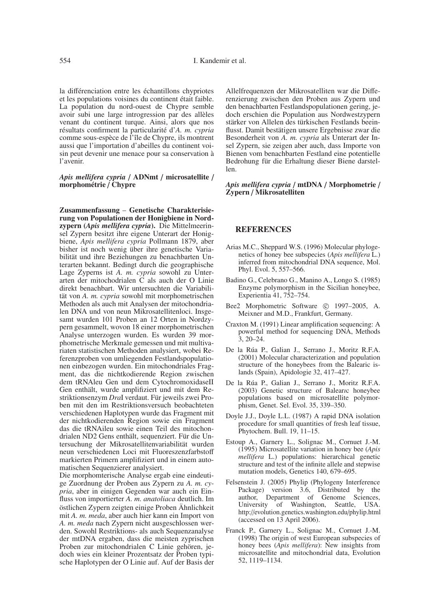la différenciation entre les échantillons chypriotes et les populations voisines du continent était faible. La population du nord-ouest de Chypre semble avoir subi une large introgression par des allèles venant du continent turque. Ainsi, alors que nos résultats confirment la particularité d'*A. m. cypria* comme sous-espèce de l'île de Chypre, ils montrent aussi que l'importation d'abeilles du continent voisin peut devenir une menace pour sa conservation à l'avenir.

#### *Apis mellifera cypria* / **ADNmt** / **microsatellite** / **morphométrie** / **Chypre**

**Zusammenfassung** – **Genetische Charakterisierung von Populationen der Honigbiene in Nordzypern (***Apis mellifera cypria***).** Die Mittelmeerinsel Zypern besitzt ihre eigene Unterart der Honigbiene, *Apis mellifera cypria* Pollmann 1879, aber bisher ist noch wenig über ihre genetische Variabilität und ihre Beziehungen zu benachbarten Unterarten bekannt. Bedingt durch die geographische Lage Zyperns ist *A. m. cypria* sowohl zu Unterarten der mitochodrialen C als auch der O Linie direkt benachbart. Wir untersuchten die Variabilität von *A. m. cypria* sowohl mit morphometrischen Methoden als auch mit Analysen der mitochondrialen DNA und von neun Mikrosatellitenloci. Insgesamt wurden 101 Proben an 12 Orten in Nordzypern gesammelt, wovon 18 einer morphometrischen Analyse unterzogen wurden. Es wurden 39 morphometrische Merkmale gemessen und mit multivariaten statistischen Methoden analysiert, wobei Referenzproben von umliegenden Festlandspopulationen einbezogen wurden. Ein mitochondriales Fragment, das die nichtkodierende Region zwischen dem tRNAleu Gen und dem CytochromoxidaseII Gen enthält, wurde amplifiziert und mit dem Restriktionsenzym *Dra*I verdaut. Für jeweils zwei Proben mit den im Restriktionsversuch beobachteten verschiedenen Haplotypen wurde das Fragment mit der nichtkodierenden Region sowie ein Fragment das die tRNAileu sowie einen Teil des mitochondrialen ND2 Gens enthält, sequenziert. Für die Untersuchung der Mikrosatellitenvariabilität wurden neun verschiedenen Loci mit Fluoreszenzfarbstoff markierten Primern amplifiziert und in einem automatischen Sequenzierer analysiert.

Die morphomterische Analyse ergab eine eindeutige Zuordnung der Proben aus Zypern zu *A. m. cypria*, aber in einigen Gegenden war auch ein Einfluss von importierter *A. m. anatoliaca* deutlich. Im östlichen Zypern zeigten einige Proben Ähnlichkeit mit *A. m. meda*, aber auch hier kann ein Import von *A. m. meda* nach Zypern nicht ausgeschlossen werden. Sowohl Restriktions- als auch Sequenzanalyse der mtDNA ergaben, dass die meisten zyprischen Proben zur mitochondrialen C Linie gehören, jedoch wies ein kleiner Prozentsatz der Proben typische Haplotypen der O Linie auf. Auf der Basis der Allelfrequenzen der Mikrosatelliten war die Differenzierung zwischen den Proben aus Zypern und den benachbarten Festlandspopulationen gering, jedoch erschien die Population aus Nordwestzypern stärker von Allelen des türkischen Festlands beeinflusst. Damit bestätigen unsere Ergebnisse zwar die Besonderheit von *A. m. cypria* als Unterart der Insel Zypern, sie zeigen aber auch, dass Importe von Bienen vom benachbarten Festland eine potentielle Bedrohung für die Erhaltung dieser Biene darstellen.

#### *Apis mellifera cypria* / **mtDNA** / **Morphometrie** / **Zypern** / **Mikrosatelliten**

# **REFERENCES**

- Arias M.C., Sheppard W.S. (1996) Molecular phylogenetics of honey bee subspecies (*Apis mellifera* L.) inferred from mitochondrial DNA sequence, Mol. Phyl. Evol. 5, 557–566.
- Badino G., Celebrano G., Manino A., Longo S. (1985) Enzyme polymorphism in the Sicilian honeybee, Experientia 41, 752–754.
- Bee2 Morphometric Software  $\odot$  1997–2005, A. Meixner and M.D., Frankfurt, Germany.
- Craxton M. (1991) Linear amplification sequencing: A powerful method for sequencing DNA, Methods 3, 20–24.
- De la Rúa P., Galian J., Serrano J., Moritz R.F.A. (2001) Molecular characterization and population structure of the honeybees from the Balearic islands (Spain), Apidologie 32, 417–427.
- De la Rúa P., Galian J., Serrano J., Moritz R.F.A. (2003) Genetic structure of Balearıc honeybee populations based on microsatellite polymorphism, Genet. Sel. Evol. 35, 339–350.
- Doyle J.J., Doyle L.L. (1987) A rapid DNA isolation procedure for small quantities of fresh leaf tissue, Phytochem. Bull. 19, 11–15.
- Estoup A., Garnery L., Solignac M., Cornuet J.-M. (1995) Microsatellite variation in honey bee (*Apis mellifera* L.) populations: hierarchical genetic structure and test of the infinite allele and stepwise mutation models, Genetics 140, 679–695.
- Felsenstein J. (2005) Phylip (Phylogeny Interference Package) version 3.6, Distributed by the author, Department of Genome Sciences, University of Washington, Seattle, USA. http://evolution.genetics.washington.edu/phylip.html (accessed on 13 April 2006).
- Franck P., Garnery L., Solignac M., Cornuet J.-M. (1998) The origin of west European subspecies of honey bees (*Apis mellifera*): New insights from microsatellite and mitochondrial data, Evolution 52, 1119–1134.